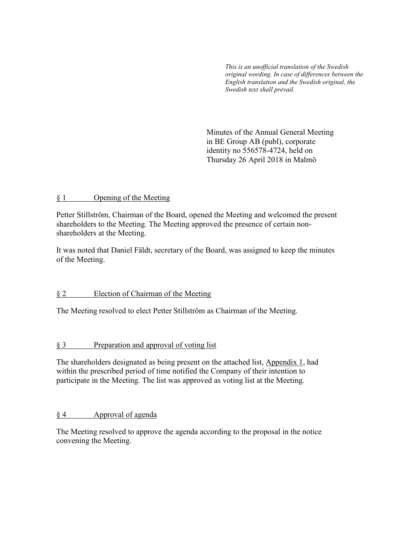*This is an unofficial translation of the Swedish original wording. In case of differences between the English translation and the Swedish original, the Swedish text shall prevail.* 

 Minutes of the Annual General Meeting in BE Group AB (publ), corporate identity no 556578-4724, held on Thursday 26 April 2018 in Malmö

### § 1 Opening of the Meeting

Petter Stillström, Chairman of the Board, opened the Meeting and welcomed the present shareholders to the Meeting. The Meeting approved the presence of certain nonshareholders at the Meeting.

It was noted that Daniel Fäldt, secretary of the Board, was assigned to keep the minutes of the Meeting.

## § 2 Election of Chairman of the Meeting

The Meeting resolved to elect Petter Stillström as Chairman of the Meeting.

## § 3 Preparation and approval of voting list

The shareholders designated as being present on the attached list, Appendix 1, had within the prescribed period of time notified the Company of their intention to participate in the Meeting. The list was approved as voting list at the Meeting.

## § 4 Approval of agenda

The Meeting resolved to approve the agenda according to the proposal in the notice convening the Meeting.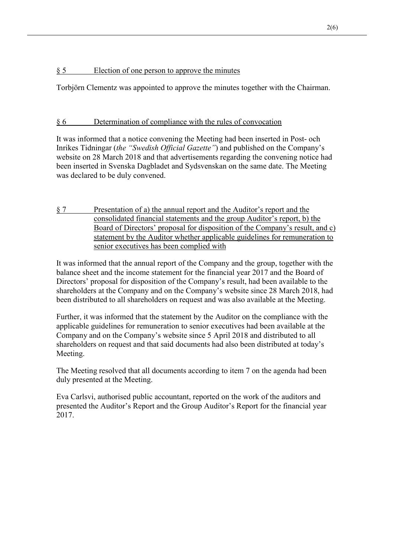# § 5 Election of one person to approve the minutes

Torbjörn Clementz was appointed to approve the minutes together with the Chairman.

# § 6 Determination of compliance with the rules of convocation

It was informed that a notice convening the Meeting had been inserted in Post- och Inrikes Tidningar (*the "Swedish Official Gazette"*) and published on the Company's website on 28 March 2018 and that advertisements regarding the convening notice had been inserted in Svenska Dagbladet and Sydsvenskan on the same date. The Meeting was declared to be duly convened.

§ 7 Presentation of a) the annual report and the Auditor's report and the consolidated financial statements and the group Auditor's report, b) the Board of Directors' proposal for disposition of the Company's result, and c) statement by the Auditor whether applicable guidelines for remuneration to senior executives has been complied with

It was informed that the annual report of the Company and the group, together with the balance sheet and the income statement for the financial year 2017 and the Board of Directors' proposal for disposition of the Company's result, had been available to the shareholders at the Company and on the Company's website since 28 March 2018, had been distributed to all shareholders on request and was also available at the Meeting.

Further, it was informed that the statement by the Auditor on the compliance with the applicable guidelines for remuneration to senior executives had been available at the Company and on the Company's website since 5 April 2018 and distributed to all shareholders on request and that said documents had also been distributed at today's Meeting.

The Meeting resolved that all documents according to item 7 on the agenda had been duly presented at the Meeting.

Eva Carlsvi, authorised public accountant, reported on the work of the auditors and presented the Auditor's Report and the Group Auditor's Report for the financial year 2017.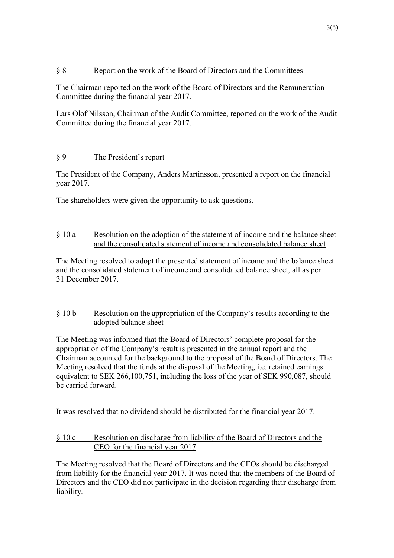### § 8 Report on the work of the Board of Directors and the Committees

The Chairman reported on the work of the Board of Directors and the Remuneration Committee during the financial year 2017.

Lars Olof Nilsson, Chairman of the Audit Committee, reported on the work of the Audit Committee during the financial year 2017.

# § 9 The President's report

The President of the Company, Anders Martinsson, presented a report on the financial year 2017.

The shareholders were given the opportunity to ask questions.

## § 10 a Resolution on the adoption of the statement of income and the balance sheet and the consolidated statement of income and consolidated balance sheet

The Meeting resolved to adopt the presented statement of income and the balance sheet and the consolidated statement of income and consolidated balance sheet, all as per 31 December 2017.

## § 10 b Resolution on the appropriation of the Company's results according to the adopted balance sheet

The Meeting was informed that the Board of Directors' complete proposal for the appropriation of the Company's result is presented in the annual report and the Chairman accounted for the background to the proposal of the Board of Directors. The Meeting resolved that the funds at the disposal of the Meeting, i.e. retained earnings equivalent to SEK 266,100,751, including the loss of the year of SEK 990,087, should be carried forward.

It was resolved that no dividend should be distributed for the financial year 2017.

## § 10 c Resolution on discharge from liability of the Board of Directors and the CEO for the financial year 2017

The Meeting resolved that the Board of Directors and the CEOs should be discharged from liability for the financial year 2017. It was noted that the members of the Board of Directors and the CEO did not participate in the decision regarding their discharge from liability.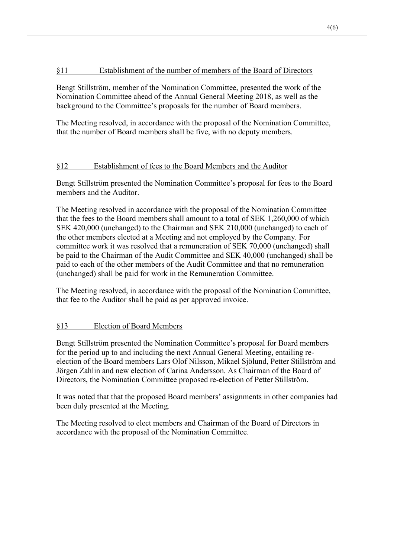### §11 Establishment of the number of members of the Board of Directors

Bengt Stillström, member of the Nomination Committee, presented the work of the Nomination Committee ahead of the Annual General Meeting 2018, as well as the background to the Committee's proposals for the number of Board members.

The Meeting resolved, in accordance with the proposal of the Nomination Committee, that the number of Board members shall be five, with no deputy members.

### §12 Establishment of fees to the Board Members and the Auditor

Bengt Stillström presented the Nomination Committee's proposal for fees to the Board members and the Auditor.

The Meeting resolved in accordance with the proposal of the Nomination Committee that the fees to the Board members shall amount to a total of SEK 1,260,000 of which SEK 420,000 (unchanged) to the Chairman and SEK 210,000 (unchanged) to each of the other members elected at a Meeting and not employed by the Company. For committee work it was resolved that a remuneration of SEK 70,000 (unchanged) shall be paid to the Chairman of the Audit Committee and SEK 40,000 (unchanged) shall be paid to each of the other members of the Audit Committee and that no remuneration (unchanged) shall be paid for work in the Remuneration Committee.

The Meeting resolved, in accordance with the proposal of the Nomination Committee, that fee to the Auditor shall be paid as per approved invoice.

## §13 Election of Board Members

Bengt Stillström presented the Nomination Committee's proposal for Board members for the period up to and including the next Annual General Meeting, entailing reelection of the Board members Lars Olof Nilsson, Mikael Sjölund, Petter Stillström and Jörgen Zahlin and new election of Carina Andersson. As Chairman of the Board of Directors, the Nomination Committee proposed re-election of Petter Stillström.

It was noted that that the proposed Board members' assignments in other companies had been duly presented at the Meeting.

The Meeting resolved to elect members and Chairman of the Board of Directors in accordance with the proposal of the Nomination Committee.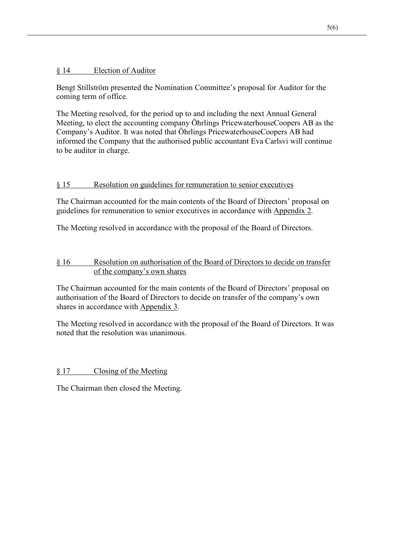## § 14 Election of Auditor

Bengt Stillström presented the Nomination Committee's proposal for Auditor for the coming term of office.

The Meeting resolved, for the period up to and including the next Annual General Meeting, to elect the accounting company Öhrlings PricewaterhouseCoopers AB as the Company's Auditor. It was noted that Öhrlings PricewaterhouseCoopers AB had informed the Company that the authorised public accountant Eva Carlsvi will continue to be auditor in charge.

# § 15 Resolution on guidelines for remuneration to senior executives

The Chairman accounted for the main contents of the Board of Directors' proposal on guidelines for remuneration to senior executives in accordance with Appendix 2.

The Meeting resolved in accordance with the proposal of the Board of Directors.

## § 16 Resolution on authorisation of the Board of Directors to decide on transfer of the company's own shares

The Chairman accounted for the main contents of the Board of Directors' proposal on authorisation of the Board of Directors to decide on transfer of the company's own shares in accordance with Appendix 3.

The Meeting resolved in accordance with the proposal of the Board of Directors. It was noted that the resolution was unanimous.

§ 17 Closing of the Meeting

The Chairman then closed the Meeting.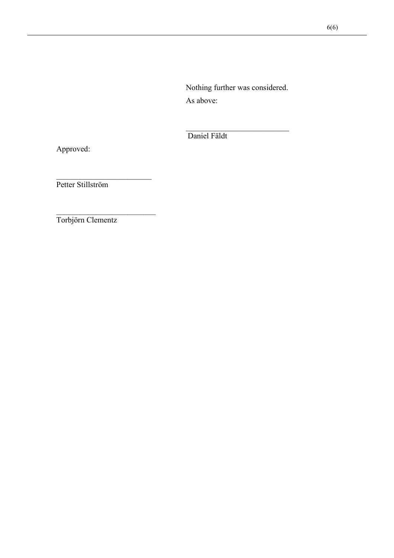Nothing further was considered. As above:

Daniel Fäldt

Approved:

Petter Stillström

Torbjörn Clementz

 $\frac{1}{2}$  ,  $\frac{1}{2}$  ,  $\frac{1}{2}$  ,  $\frac{1}{2}$  ,  $\frac{1}{2}$  ,  $\frac{1}{2}$  ,  $\frac{1}{2}$  ,  $\frac{1}{2}$  ,  $\frac{1}{2}$  ,  $\frac{1}{2}$  ,  $\frac{1}{2}$  ,  $\frac{1}{2}$  ,  $\frac{1}{2}$  ,  $\frac{1}{2}$  ,  $\frac{1}{2}$  ,  $\frac{1}{2}$  ,  $\frac{1}{2}$  ,  $\frac{1}{2}$  ,  $\frac{1$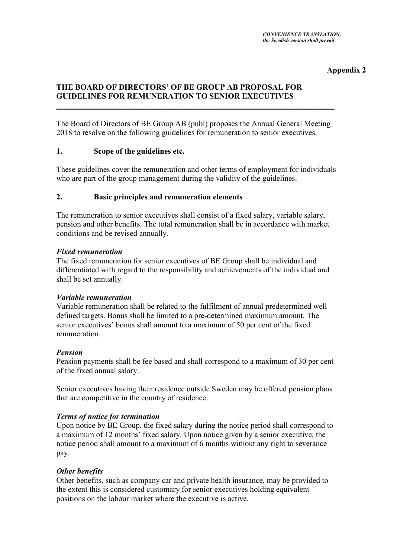### **Appendix 2**

## **THE BOARD OF DIRECTORS' OF BE GROUP AB PROPOSAL FOR GUIDELINES FOR REMUNERATION TO SENIOR EXECUTIVES**

The Board of Directors of BE Group AB (publ) proposes the Annual General Meeting 2018 to resolve on the following guidelines for remuneration to senior executives.

\_\_\_\_\_\_\_\_\_\_\_\_\_\_\_\_\_\_\_\_\_\_\_\_\_\_\_\_\_\_\_\_\_\_\_\_\_\_\_\_\_\_\_\_\_\_\_\_\_\_\_\_\_\_\_\_\_\_\_\_\_\_\_\_\_\_\_\_\_\_

### **1. Scope of the guidelines etc.**

These guidelines cover the remuneration and other terms of employment for individuals who are part of the group management during the validity of the guidelines.

### **2. Basic principles and remuneration elements**

The remuneration to senior executives shall consist of a fixed salary, variable salary, pension and other benefits. The total remuneration shall be in accordance with market conditions and be revised annually.

### *Fixed remuneration*

The fixed remuneration for senior executives of BE Group shall be individual and differentiated with regard to the responsibility and achievements of the individual and shall be set annually.

### *Variable remuneration*

Variable remuneration shall be related to the fulfilment of annual predetermined well defined targets. Bonus shall be limited to a pre-determined maximum amount. The senior executives' bonus shall amount to a maximum of 50 per cent of the fixed remuneration.

### *Pension*

Pension payments shall be fee based and shall correspond to a maximum of 30 per cent of the fixed annual salary.

Senior executives having their residence outside Sweden may be offered pension plans that are competitive in the country of residence.

### *Terms of notice for termination*

Upon notice by BE Group, the fixed salary during the notice period shall correspond to a maximum of 12 months' fixed salary. Upon notice given by a senior executive, the notice period shall amount to a maximum of 6 months without any right to severance pay.

### *Other benefits*

Other benefits, such as company car and private health insurance, may be provided to the extent this is considered customary for senior executives holding equivalent positions on the labour market where the executive is active.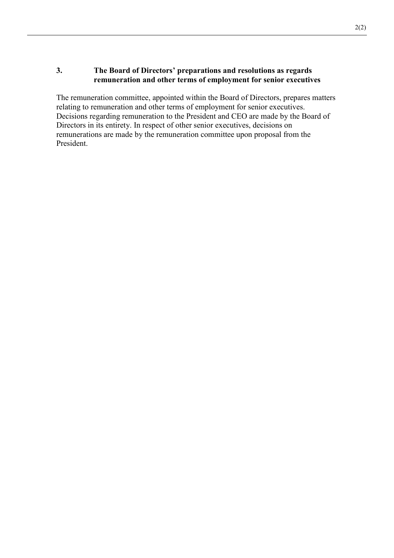## **3. The Board of Directors' preparations and resolutions as regards remuneration and other terms of employment for senior executives**

The remuneration committee, appointed within the Board of Directors, prepares matters relating to remuneration and other terms of employment for senior executives. Decisions regarding remuneration to the President and CEO are made by the Board of Directors in its entirety. In respect of other senior executives, decisions on remunerations are made by the remuneration committee upon proposal from the President.